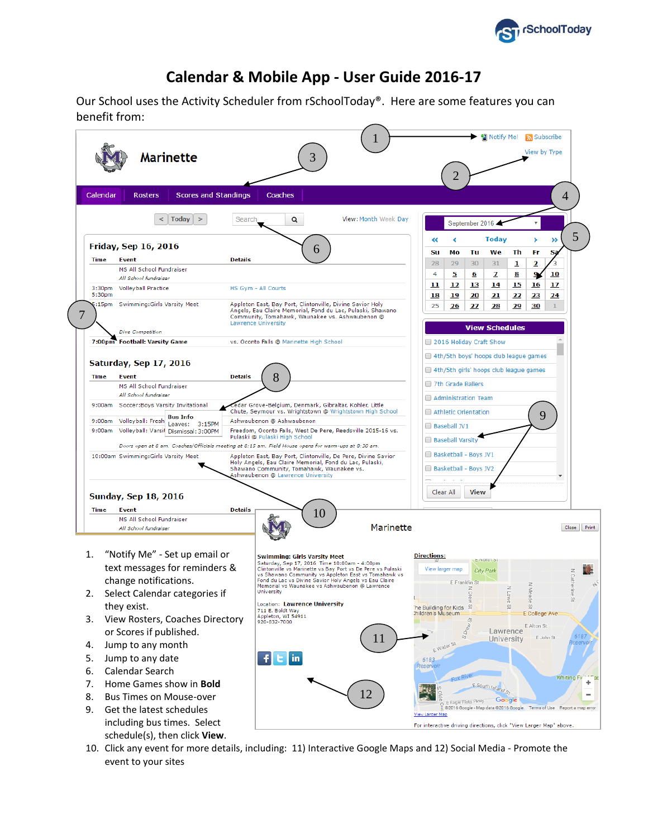

## **Calendar & Mobile App - User Guide 2016-17**

Our School uses the Activity Scheduler from rSchoolToday®. Here are some features you can benefit from:



10. Click any event for more details, including: 11) Interactive Google Maps and 12) Social Media - Promote the event to your sites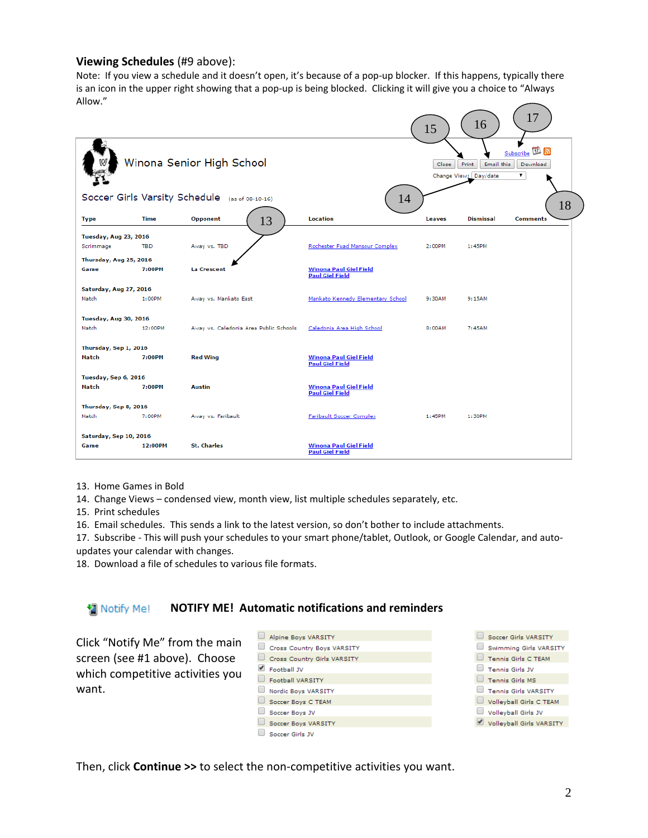## **Viewing Schedules** (#9 above):

Note: If you view a schedule and it doesn't open, it's because of a pop-up blocker. If this happens, typically there is an icon in the upper right showing that a pop-up is being blocked. Clicking it will give you a choice to "Always Allow."

|                                                            |                                        |                                                                                                  | 15     | 16               | 17              |  |  |
|------------------------------------------------------------|----------------------------------------|--------------------------------------------------------------------------------------------------|--------|------------------|-----------------|--|--|
| Winona Senior High School                                  |                                        | <b>Subscribe 17 5</b><br>Print<br>Email this<br>Close<br>Download<br>Change View: Day/date<br>۷. |        |                  |                 |  |  |
| Soccer Girls Varsity Schedule (as of 08-10-16)<br>14<br>18 |                                        |                                                                                                  |        |                  |                 |  |  |
| <b>Time</b><br><b>Type</b>                                 | Opponent<br>13                         | Location                                                                                         | Leaves | <b>Dismissal</b> | <b>Comments</b> |  |  |
| <b>Tuesday, Aug 23, 2016</b>                               |                                        |                                                                                                  |        |                  |                 |  |  |
| <b>TBD</b><br>Scrimmage                                    | Away vs. TBD                           | Rochester Fuad Mansour Complex                                                                   | 2:00PM | 1:45PM           |                 |  |  |
| Thursday, Aug 25, 2016                                     |                                        |                                                                                                  |        |                  |                 |  |  |
| 7:00PM<br>Game                                             | <b>La Crescent</b>                     | <b>Winona Paul Giel Field</b><br><b>Paul Giel Field</b>                                          |        |                  |                 |  |  |
| Saturday, Aug 27, 2016                                     |                                        |                                                                                                  |        |                  |                 |  |  |
| Match<br>1:00PM                                            | Away vs. Mankato East                  | Mankato Kennedy Elementary School                                                                | 9:30AM | 9:15AM           |                 |  |  |
| Tuesday, Aug 30, 2016                                      |                                        |                                                                                                  |        |                  |                 |  |  |
| Match<br>12:00PM                                           | Away vs. Caledonia Area Public Schools | Caledonia Area High School                                                                       | 8:00AM | 7:45AM           |                 |  |  |
|                                                            |                                        |                                                                                                  |        |                  |                 |  |  |
| Thursday, Sep 1, 2016<br>Match<br>7:00PM                   | <b>Red Wing</b>                        | <b>Winona Paul Giel Field</b>                                                                    |        |                  |                 |  |  |
|                                                            |                                        | <b>Paul Giel Field</b>                                                                           |        |                  |                 |  |  |
| Tuesday, Sep 6, 2016                                       |                                        |                                                                                                  |        |                  |                 |  |  |
| Match<br>7:00PM                                            | Austin                                 | <b>Winona Paul Giel Field</b><br><b>Paul Giel Field</b>                                          |        |                  |                 |  |  |
| Thursday, Sep 8, 2016                                      |                                        |                                                                                                  |        |                  |                 |  |  |
| Match<br>7:00PM                                            | Away vs. Faribault                     | <b>Faribault Soccer Complex</b>                                                                  | 1:45PM | 1:30PM           |                 |  |  |
| Saturday, Sep 10, 2016                                     |                                        |                                                                                                  |        |                  |                 |  |  |
| 12:00PM<br>Game                                            | <b>St. Charles</b>                     | <b>Winona Paul Giel Field</b><br><b>Paul Giel Field</b>                                          |        |                  |                 |  |  |

13. Home Games in Bold

14. Change Views – condensed view, month view, list multiple schedules separately, etc.

15. Print schedules

16. Email schedules. This sends a link to the latest version, so don't bother to include attachments.

17. Subscribe - This will push your schedules to your smart phone/tablet, Outlook, or Google Calendar, and autoupdates your calendar with changes.

18. Download a file of schedules to various file formats.

## **NOTIFY ME! Automatic notifications and reminders** Notify Me!

Click "Notify Me" from the main screen (see #1 above). Choose which competitive activities you want.

| Alpine Boys VARSITY         |  | Soccer Girls VARSITY        |
|-----------------------------|--|-----------------------------|
| Cross Country Boys VARSITY  |  | Swimming Girls VARSITY      |
| Cross Country Girls VARSITY |  | <b>Tennis Girls C TEAM</b>  |
| Football JV                 |  | <b>Tennis Girls JV</b>      |
| Football VARSITY            |  | <b>Tennis Girls MS</b>      |
| Nordic Boys VARSITY         |  | <b>Tennis Girls VARSITY</b> |
| Soccer Boys C TEAM          |  | Volleyball Girls C TEAM     |
| Soccer Boys JV              |  | Volleyball Girls JV         |
| Soccer Boys VARSITY         |  | Volleyball Girls VARSITY    |
| Soccer Girls JV             |  |                             |

Then, click **Continue >>** to select the non-competitive activities you want.